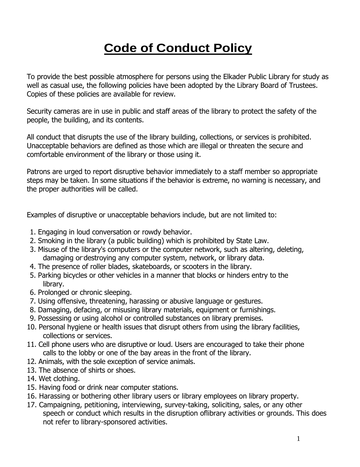# **Code of Conduct Policy**

To provide the best possible atmosphere for persons using the Elkader Public Library for study as well as casual use, the following policies have been adopted by the Library Board of Trustees. Copies of these policies are available for review.

Security cameras are in use in public and staff areas of the library to protect the safety of the people, the building, and its contents.

All conduct that disrupts the use of the library building, collections, or services is prohibited. Unacceptable behaviors are defined as those which are illegal or threaten the secure and comfortable environment of the library or those using it.

Patrons are urged to report disruptive behavior immediately to a staff member so appropriate steps may be taken. In some situations if the behavior is extreme, no warning is necessary, and the proper authorities will be called.

Examples of disruptive or unacceptable behaviors include, but are not limited to:

- 1. Engaging in loud conversation or rowdy behavior.
- 2. Smoking in the library (a public building) which is prohibited by State Law.
- 3. Misuse of the library's computers or the computer network, such as altering, deleting, damaging or-destroying any computer system, network, or library data.
- 4. The presence of roller blades, skateboards, or scooters in the library.
- 5. Parking bicycles or other vehicles in a manner that blocks or hinders entry to the library.
- 6. Prolonged or chronic sleeping.
- 7. Using offensive, threatening, harassing or abusive language or gestures.
- 8. Damaging, defacing, or misusing library materials, equipment or furnishings.
- 9. Possessing or using alcohol or controlled substances on library premises.
- 10. Personal hygiene or health issues that disrupt others from using the library facilities, collections or services.
- 11. Cell phone users who are disruptive or loud. Users are encouraged to take their phone calls to the lobby or one of the bay areas in the front of the library.
- 12. Animals, with the sole exception of service animals.
- 13. The absence of shirts or shoes.
- 14. Wet clothing.
- 15. Having food or drink near computer stations.
- 16. Harassing or bothering other library users or library employees on library property.
- 17. Campaigning, petitioning, interviewing, survey-taking, soliciting, sales, or any other speech or conduct which results in the disruption oflibrary activities or grounds. This does not refer to library-sponsored activities.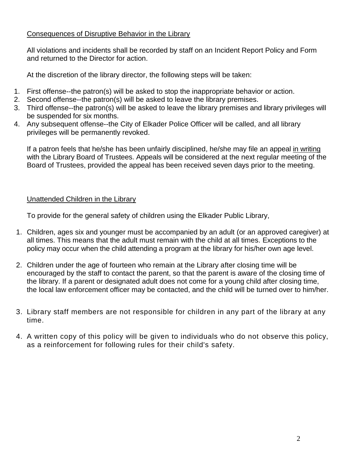### Consequences of Disruptive Behavior in the Library

All violations and incidents shall be recorded by staff on an Incident Report Policy and Form and returned to the Director for action.

At the discretion of the library director, the following steps will be taken:

- 1. First offense--the patron(s) will be asked to stop the inappropriate behavior or action.
- 2. Second offense--the patron(s) will be asked to leave the library premises.
- 3. Third offense--the patron(s) will be asked to leave the library premises and library privileges will be suspended for six months.
- 4. Any subsequent offense--the City of Elkader Police Officer will be called, and all library privileges will be permanently revoked.

If a patron feels that he/she has been unfairly disciplined, he/she may file an appeal in writing with the Library Board of Trustees. Appeals will be considered at the next regular meeting of the Board of Trustees, provided the appeal has been received seven days prior to the meeting.

## Unattended Children in the Library

To provide for the general safety of children using the Elkader Public Library,

- 1. Children, ages six and younger must be accompanied by an adult (or an approved caregiver) at all times. This means that the adult must remain with the child at all times. Exceptions to the policy may occur when the child attending a program at the library for his/her own age level.
- 2. Children under the age of fourteen who remain at the Library after closing time will be encouraged by the staff to contact the parent, so that the parent is aware of the closing time of the library. If a parent or designated adult does not come for a young child after closing time, the local law enforcement officer may be contacted, and the child will be turned over to him/her.
- 3. Library staff members are not responsible for children in any part of the library at any time.
- 4. A written copy of this policy will be given to individuals who do not observe this policy, as a reinforcement for following rules for their child's safety.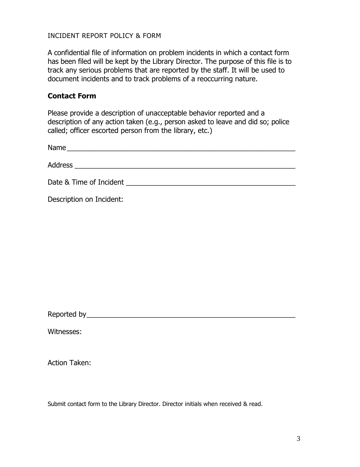#### INCIDENT REPORT POLICY & FORM

A confidential file of information on problem incidents in which a contact form has been filed will be kept by the Library Director. The purpose of this file is to track any serious problems that are reported by the staff. It will be used to document incidents and to track problems of a reoccurring nature.

#### **Contact Form**

Please provide a description of unacceptable behavior reported and a description of any action taken (e.g., person asked to leave and did so; police called; officer escorted person from the library, etc.)

| Name<br><u> 1980 - Jan Barbara Barat, margaret eta politikari (h. 1905).</u> |                                                                                                                                                                                                                                |
|------------------------------------------------------------------------------|--------------------------------------------------------------------------------------------------------------------------------------------------------------------------------------------------------------------------------|
|                                                                              |                                                                                                                                                                                                                                |
|                                                                              |                                                                                                                                                                                                                                |
|                                                                              |                                                                                                                                                                                                                                |
|                                                                              | Date & Time of Incident and the state of the state of the state of the state of the state of the state of the state of the state of the state of the state of the state of the state of the state of the state of the state of |
|                                                                              |                                                                                                                                                                                                                                |
| Description on Incident:                                                     |                                                                                                                                                                                                                                |

Reported by\_\_\_\_\_\_\_\_\_\_\_\_\_\_\_\_\_\_\_\_\_\_\_\_\_\_\_\_\_\_\_\_\_\_\_\_\_\_\_\_\_\_\_\_\_\_\_\_\_\_\_\_\_

Witnesses:

Action Taken:

Submit contact form to the Library Director. Director initials when received & read.